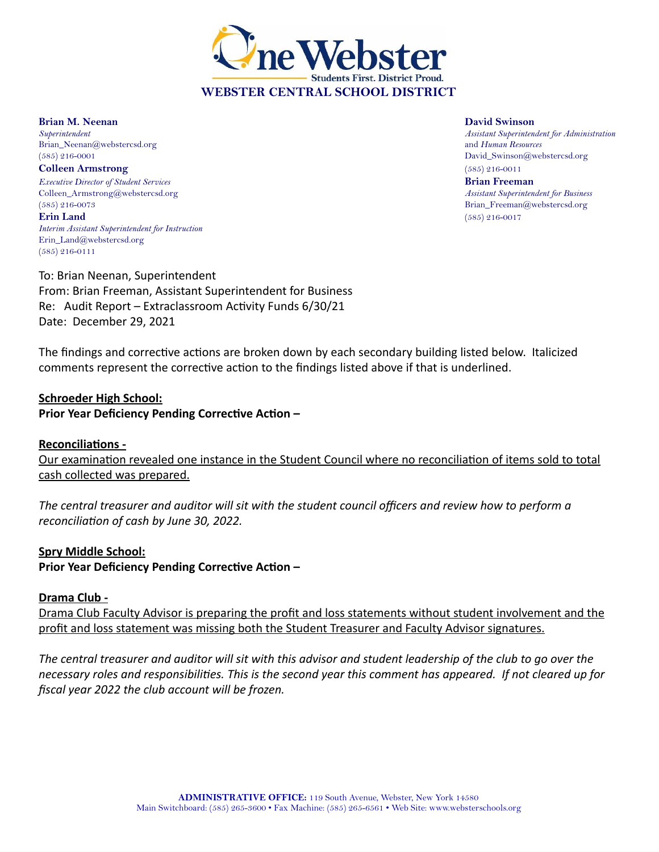

**Brian M. Neenan David Swinson** Brian\_Neenan@webstercsd.org and *Human Resources*

**Colleen Armstrong** (585) 216-0011 *Executive Director of Student Services* **Brian Freeman** Colleen\_Armstrong@webstercsd.org *Assistant Superintendent for Business* (585) 216-0073 Brian\_Freeman@webstercsd.org **Erin Land** (585) 216-0017 *Interim Assistant Superintendent for Instruction* Erin\_Land@webstercsd.org (585) 216-0111

*Superintendent Assistant Superintendent for Administration* (585) 216-0001 David\_Swinson@webstercsd.org

To: Brian Neenan, Superintendent From: Brian Freeman, Assistant Superintendent for Business Re: Audit Report – Extraclassroom Activity Funds 6/30/21 Date: December 29, 2021

The findings and corrective actions are broken down by each secondary building listed below. Italicized comments represent the corrective action to the findings listed above if that is underlined.

## **Schroeder High School:**

**Prior Year Deficiency Pending Corrective Action –**

#### **Reconciliations -**

Our examination revealed one instance in the Student Council where no reconciliation of items sold to total cash collected was prepared.

The central treasurer and auditor will sit with the student council officers and review how to perform a *reconciliation of cash by June 30, 2022.*

#### **Spry Middle School:**

**Prior Year Deficiency Pending Corrective Action –**

## **Drama Club -**

Drama Club Faculty Advisor is preparing the profit and loss statements without student involvement and the profit and loss statement was missing both the Student Treasurer and Faculty Advisor signatures.

The central treasurer and auditor will sit with this advisor and student leadership of the club to go over the necessary roles and responsibilities. This is the second year this comment has appeared. If not cleared up for *fiscal year 2022 the club account will be frozen.*